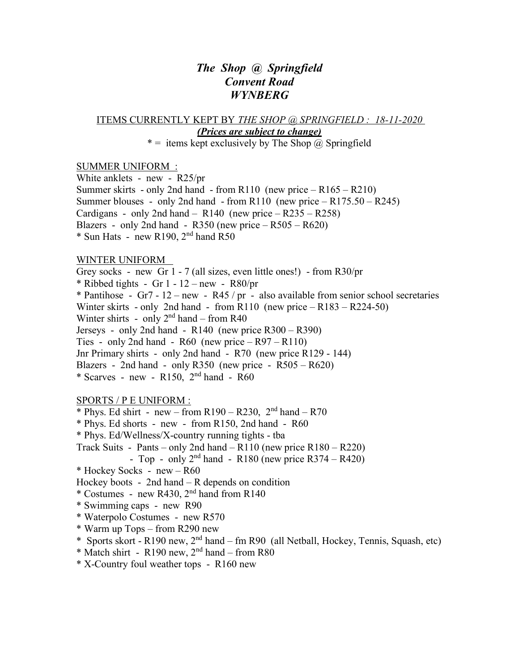## *The Shop @ Springfield Convent Road WYNBERG*

ITEMS CURRENTLY KEPT BY *THE SHOP @ SPRINGFIELD : 18-11-2020 (Prices are subject to change)*

\* = items kept exclusively by The Shop  $\omega$  Springfield

## SUMMER UNIFORM :

White anklets - new - R25/pr Summer skirts - only 2nd hand - from  $R110$  (new price  $- R165 - R210$ ) Summer blouses - only 2nd hand - from R110 (new price  $-$  R175.50 – R245) Cardigans - only 2nd hand –  $R140$  (new price –  $R235 - R258$ ) Blazers - only 2nd hand -  $R350$  (new price  $- R505 - R620$ )  $*$  Sun Hats - new R190,  $2<sup>nd</sup>$  hand R50

## WINTER UNIFORM

Grey socks - new Gr 1 - 7 (all sizes, even little ones!) - from R30/pr

\* Ribbed tights - Gr  $1 - 12$  – new - R80/pr

\* Pantihose - Gr7 - 12 – new - R45 / pr - also available from senior school secretaries Winter skirts - only 2nd hand - from R110 (new price – R183 – R224-50) Winter shirts - only  $2<sup>nd</sup>$  hand – from R40 Jerseys - only 2nd hand -  $R140$  (new price  $R300 - R390$ ) Ties - only 2nd hand -  $R60$  (new price  $- R97 - R110$ ) Jnr Primary shirts - only 2nd hand - R70 (new price R129 - 144) Blazers - 2nd hand - only R350 (new price -  $R505 - R620$ )  $*$  Scarves - new - R150,  $2<sup>nd</sup>$  hand - R60

## SPORTS / P E UNIFORM :

\* Phys. Ed shirt - new – from  $R190 - R230$ ,  $2<sup>nd</sup>$  hand –  $R70$ \* Phys. Ed shorts - new - from R150, 2nd hand - R60 \* Phys. Ed/Wellness/X-country running tights - tba Track Suits - Pants – only 2nd hand –  $R110$  (new price  $R180 - R220$ ) - Top - only  $2<sup>nd</sup>$  hand - R180 (new price R374 – R420) \* Hockey Socks - new – R60 Hockey boots - 2nd hand – R depends on condition \* Costumes - new R430,  $2<sup>nd</sup>$  hand from R140 \* Swimming caps - new R90 \* Waterpolo Costumes - new R570 \* Warm up Tops – from R290 new \* Sports skort - R190 new,  $2<sup>nd</sup>$  hand – fm R90 (all Netball, Hockey, Tennis, Squash, etc)  $*$  Match shirt - R190 new,  $2<sup>nd</sup>$  hand – from R80 \* X-Country foul weather tops - R160 new